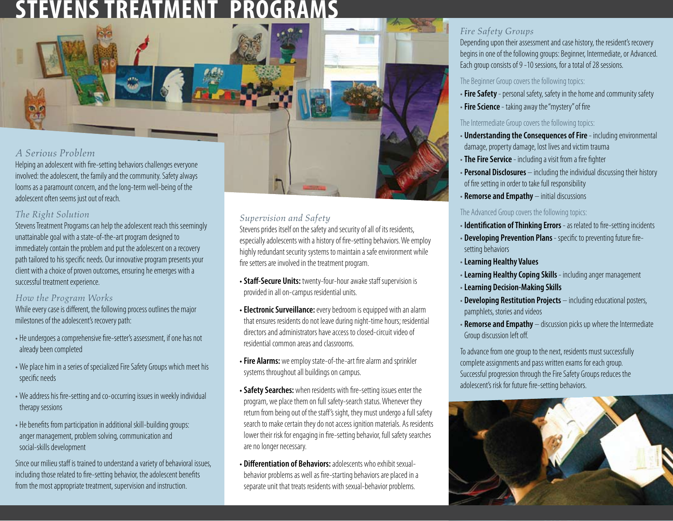# STEVENS TREATMENT PROGRAM



involved: the adolescent, the family and the community. Safety always looms as a paramount concern, and the long-term well-being of the adolescent often seems just out of reach.

## *The Right Solution*

Stevens Treatment Programs can help the adolescent reach this seemingly unattainable goal with a state-of-the-art program designed to immediately contain the problem and put the adolescent on a recovery path tailored to his specific needs. Our innovative program presents your client with a choice of proven outcomes, ensuring he emerges with a successful treatment experience.

### *How the Program Works*

While every case is different, the following process outlines the major milestones of the adolescent's recovery path:

- He undergoes a comprehensive fire-setter's assessment, if one has not already been completed
- We place him in a series of specialized Fire Safety Groups which meet his specific needs
- We address his fire-setting and co-occurring issues in weekly individual therapy sessions
- He benefits from participation in additional skill-building groups: anger management, problem solving, communication and social-skills development

Since our milieu staff is trained to understand a variety of behavioral issues, including those related to fire-setting behavior, the adolescent benefits from the most appropriate treatment, supervision and instruction.

## *Supervision and Safety*

Stevens prides itself on the safety and security of all of its residents, especially adolescents with a history of fire-setting behaviors. We employ highly redundant security systems to maintain a safe environment while fire setters are involved in the treatment program.

- **Staff-Secure Units:** twenty-four-hour awake staff supervision is provided in all on-campus residential units.
- **Electronic Surveillance:** every bedroom is equipped with an alarm that ensures residents do not leave during night-time hours; residential directors and administrators have access to closed-circuit video of residential common areas and classrooms.
- **Fire Alarms:** we employ state-of-the-art fire alarm and sprinkler systems throughout all buildings on campus.
- **Safety Searches:** when residents with fire-setting issues enter the program, we place them on full safety-search status. Whenever they return from being out of the staff's sight, they must undergo a full safety search to make certain they do not access ignition materials. As residents lower their risk for engaging in fire-setting behavior, full safety searches are no longer necessary.
- **Differentiation of Behaviors:**adolescents who exhibit sexualbehavior problems as well as fire-starting behaviors are placed in a separate unit that treats residents with sexual-behavior problems.

# *Fire Safety Groups*

Depending upon their assessment and case history, the resident's recovery begins in one of the following groups: Beginner, Intermediate, or Advanced. Each group consists of 9 -10 sessions, for a total of 28 sessions.

#### The Beginner Group covers the following topics:

- **Fire Safety** personal safety, safety in the home and community safety
- **Fire Science** taking away the "mystery" of fire

#### The Intermediate Group covers the following topics:

- **Understanding the Consequences of Fire** including environmental damage, property damage, lost lives and victim trauma
- **The Fire Service** including a visit from a fire fighter
- **Personal Disclosures** including the individual discussing their history of fire setting in order to take full responsibility
- **Remorse and Empathy** initial discussions

#### The Advanced Group covers the following topics:

- **Identification of Thinking Errors** as related to fire-setting incidents
- **Developing Prevention Plans** specific to preventing future firesetting behaviors
- **Learning Healthy Values**
- **Learning Healthy Coping Skills**  including anger management
- **Learning Decision-Making Skills**
- **Developing Restitution Projects** including educational posters, pamphlets, stories and videos
- **Remorse and Empathy** discussion picks up where the Intermediate Group discussion left off.

To advance from one group to the next, residents must successfully complete assignments and pass written exams for each group. Successful progression through the Fire Safety Groups reduces the adolescent's risk for future fire-setting behaviors.